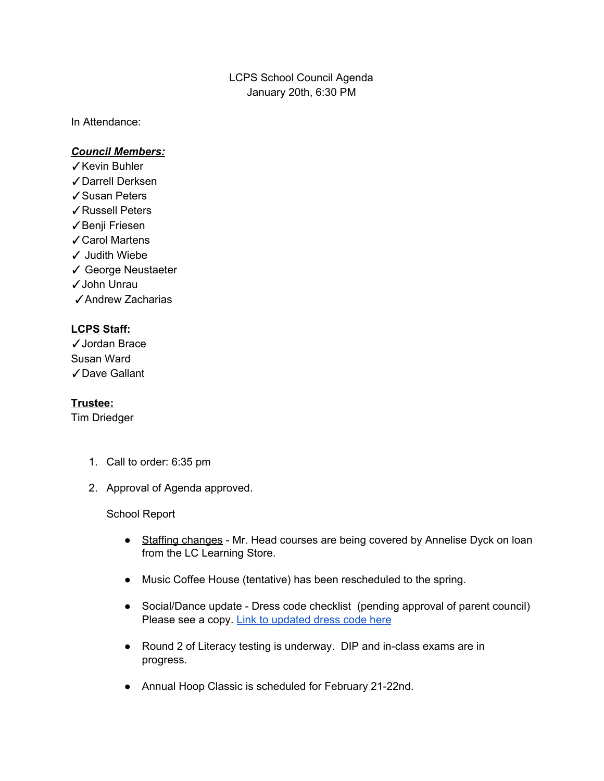# LCPS School Council Agenda January 20th, 6:30 PM

In Attendance:

### *Council Members:*

- ✓Kevin Buhler
- ✓Darrell Derksen
- ✓Susan Peters
- ✓Russell Peters
- ✓Benji Friesen
- ✓Carol Martens
- ✓ Judith Wiebe
- ✓ George Neustaeter
- ✓John Unrau
- ✓Andrew Zacharias

## **LCPS Staff:**

✓Jordan Brace Susan Ward ✓Dave Gallant

#### **Trustee:**

Tim Driedger

- 1. Call to order: 6:35 pm
- 2. Approval of Agenda approved.

#### School Report

- Staffing changes Mr. Head courses are being covered by Annelise Dyck on loan from the LC Learning Store.
- Music Coffee House (tentative) has been rescheduled to the spring.
- Social/Dance update Dress code checklist (pending approval of parent council) Please see a copy. Link to [updated](https://docs.google.com/document/d/1_usX6PztQ8G2x2K3PGcztKN7EdTylJ1XqROp1x6q7XU/edit?usp=sharing) dress code here
- Round 2 of Literacy testing is underway. DIP and in-class exams are in progress.
- Annual Hoop Classic is scheduled for February 21-22nd.